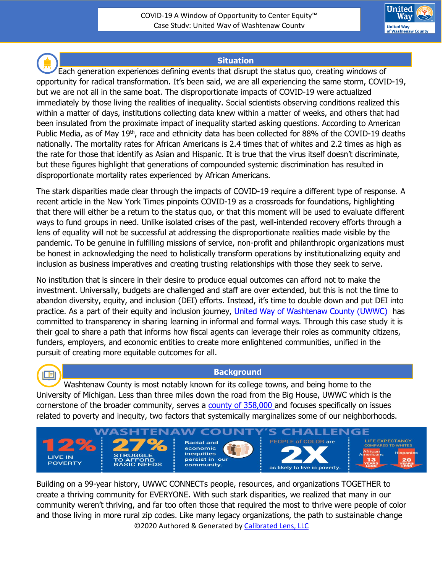

#### **Situation**

Each generation experiences defining events that disrupt the status quo, creating windows of opportunity for radical transformation. It's been said, we are all experiencing the same storm, COVID-19, but we are not all in the same boat. The disproportionate impacts of COVID-19 were actualized immediately by those living the realities of inequality. Social scientists observing conditions realized this within a matter of days, institutions collecting data knew within a matter of weeks, and others that had been insulated from the proximate impact of inequality started asking questions. According to American Public Media, as of May 19<sup>th</sup>, race and ethnicity data has been collected for 88% of the COVID-19 deaths nationally. The mortality rates for African Americans is 2.4 times that of whites and 2.2 times as high as the rate for those that identify as Asian and Hispanic. It is true that the virus itself doesn't discriminate, but these figures highlight that generations of compounded systemic discrimination has resulted in disproportionate mortality rates experienced by African Americans.

The stark disparities made clear through the impacts of COVID-19 require a different type of response. A recent article in the New York Times pinpoints COVID-19 as a crossroads for foundations, highlighting that there will either be a return to the status quo, or that this moment will be used to evaluate different ways to fund groups in need. Unlike isolated crises of the past, well-intended recovery efforts through a lens of equality will not be successful at addressing the disproportionate realities made visible by the pandemic. To be genuine in fulfilling missions of service, non-profit and philanthropic organizations must be honest in acknowledging the need to holistically transform operations by institutionalizing equity and inclusion as business imperatives and creating trusting relationships with those they seek to serve.

No institution that is sincere in their desire to produce equal outcomes can afford not to make the investment. Universally, budgets are challenged and staff are over extended, but this is not the time to abandon diversity, equity, and inclusion (DEI) efforts. Instead, it's time to double down and put DEI into practice. As a part of their equity and inclusion journey, [United Way of Washtenaw County \(UWWC\)](https://www.uwwashtenaw.org/mission) has committed to transparency in sharing learning in informal and formal ways. Through this case study it is their goal to share a path that informs how fiscal agents can leverage their roles as community citizens, funders, employers, and economic entities to create more enlightened communities, unified in the pursuit of creating more equitable outcomes for all.

# **Background**

Washtenaw County is most notably known for its college towns, and being home to the University of Michigan. Less than three miles down the road from the Big House, UWWC which is the cornerstone of the broader community, serves a [county of 358,000](https://www.census.gov/quickfacts/washtenawcountymichigan) and focuses specifically on issues related to poverty and inequity, two factors that systemically marginalizes some of our neighborhoods.

画



©2020 Authored & Generated b[y Calibrated Lens, LLC](http://www.calibratedlens.com/)  Building on a 99-year history, UWWC CONNECTs people, resources, and organizations TOGETHER to create a thriving community for EVERYONE. With such stark disparities, we realized that many in our community weren't thriving, and far too often those that required the most to thrive were people of color and those living in more rural zip codes. Like many legacy organizations, the path to sustainable change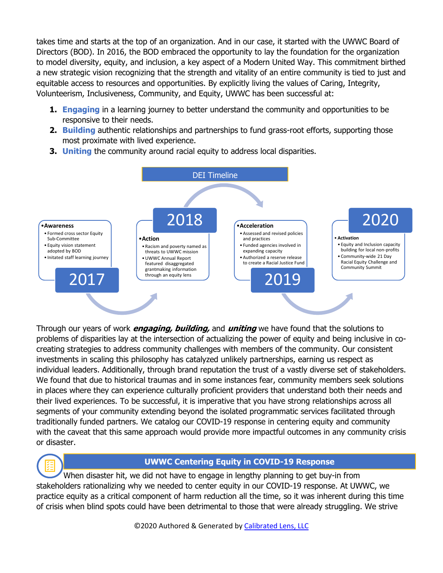takes time and starts at the top of an organization. And in our case, it started with the UWWC Board of Directors (BOD). In 2016, the BOD embraced the opportunity to lay the foundation for the organization to model diversity, equity, and inclusion, a key aspect of a Modern United Way. This commitment birthed a new strategic vision recognizing that the strength and vitality of an entire community is tied to just and equitable access to resources and opportunities. By explicitly living the values of Caring, Integrity, Volunteerism, Inclusiveness, Community, and Equity, UWWC has been successful at:

- **1. Engaging** in a learning journey to better understand the community and opportunities to be responsive to their needs.
- **2. Building** authentic relationships and partnerships to fund grass-root efforts, supporting those most proximate with lived experience.
- **3. Uniting** the community around racial equity to address local disparities.



Through our years of work **engaging, building,** and **uniting** we have found that the solutions to problems of disparities lay at the intersection of actualizing the power of equity and being inclusive in cocreating strategies to address community challenges with members of the community. Our consistent investments in scaling this philosophy has catalyzed unlikely partnerships, earning us respect as individual leaders. Additionally, through brand reputation the trust of a vastly diverse set of stakeholders. We found that due to historical traumas and in some instances fear, community members seek solutions in places where they can experience culturally proficient providers that understand both their needs and their lived experiences. To be successful, it is imperative that you have strong relationships across all segments of your community extending beyond the isolated programmatic services facilitated through traditionally funded partners. We catalog our COVID-19 response in centering equity and community with the caveat that this same approach would provide more impactful outcomes in any community crisis or disaster.



# **UWWC Centering Equity in COVID-19 Response**

When disaster hit, we did not have to engage in lengthy planning to get buy-in from stakeholders rationalizing why we needed to center equity in our COVID-19 response. At UWWC, we practice equity as a critical component of harm reduction all the time, so it was inherent during this time of crisis when blind spots could have been detrimental to those that were already struggling. We strive

©2020 Authored & Generated b[y Calibrated Lens, LLC](http://www.calibratedlens.com/)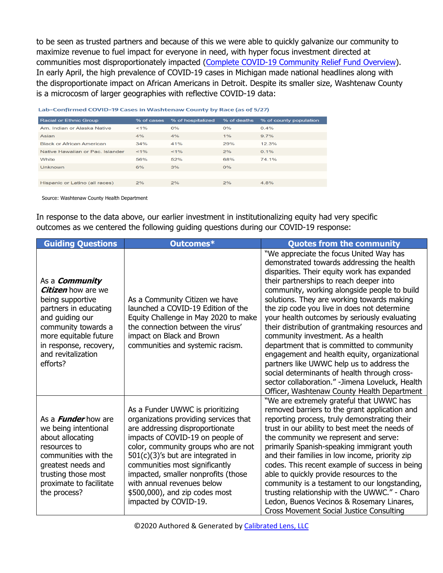to be seen as trusted partners and because of this we were able to quickly galvanize our community to maximize revenue to fuel impact for everyone in need, with hyper focus investment directed at communities most disproportionately impacted [\(Complete COVID-19 Community Relief Fund Overview\)](https://www.uwwashtenaw.org/sites/uwwashtenaw.org/files/COVID19%20Community%20Relief%20Fund%20Grants%20Overview-FINAL.pdf). In early April, the high prevalence of COVID-19 cases in Michigan made national headlines along with the disproportionate impact on African Americans in Detroit. Despite its smaller size, Washtenaw County is a microcosm of larger geographies with reflective COVID-19 data:

| <b>Racial or Ethnic Group</b>    | % of cases | % of hospitalized | % of deaths | % of county population |
|----------------------------------|------------|-------------------|-------------|------------------------|
| Am. Indian or Alaska Native      | $< 1\%$    | $O\%$             | $O\%$       | 0.4%                   |
| Asian                            | 4%         | 4%                | 1%          | 9.7%                   |
| <b>Black or African American</b> | 34%        | 41%               | 29%         | 12.3%                  |
| Native Hawaiian or Pac. Islander | $< 1\%$    | $< 1\%$           | 2%          | 0.1%                   |
| White                            | 56%        | 52%               | 68%         | 74.1%                  |
| <b>Unknown</b>                   | 6%         | 3%                | O%          |                        |
|                                  |            |                   |             |                        |
| Hispanic or Latino (all races)   | 2%         | 2%                | 2%          | 4.8%                   |

Lab-Confirmed COVID-19 Cases in Washtenaw County by Race (as of 5/27)

Source: Washtenaw County Health Department

In response to the data above, our earlier investment in institutionalizing equity had very specific outcomes as we centered the following guiding questions during our COVID-19 response:

| <b>Guiding Questions</b>                                                                                                                                                                                                       | Outcomes*                                                                                                                                                                                                                                                                                                                                                                                         | <b>Quotes from the community</b>                                                                                                                                                                                                                                                                                                                                                                                                                                                                                                                                                                                                                                                                                                                                  |
|--------------------------------------------------------------------------------------------------------------------------------------------------------------------------------------------------------------------------------|---------------------------------------------------------------------------------------------------------------------------------------------------------------------------------------------------------------------------------------------------------------------------------------------------------------------------------------------------------------------------------------------------|-------------------------------------------------------------------------------------------------------------------------------------------------------------------------------------------------------------------------------------------------------------------------------------------------------------------------------------------------------------------------------------------------------------------------------------------------------------------------------------------------------------------------------------------------------------------------------------------------------------------------------------------------------------------------------------------------------------------------------------------------------------------|
| As a <b>Community</b><br><b>Citizen</b> how are we<br>being supportive<br>partners in educating<br>and guiding our<br>community towards a<br>more equitable future<br>in response, recovery,<br>and revitalization<br>efforts? | As a Community Citizen we have<br>launched a COVID-19 Edition of the<br>Equity Challenge in May 2020 to make<br>the connection between the virus'<br>impact on Black and Brown<br>communities and systemic racism.                                                                                                                                                                                | "We appreciate the focus United Way has<br>demonstrated towards addressing the health<br>disparities. Their equity work has expanded<br>their partnerships to reach deeper into<br>community, working alongside people to build<br>solutions. They are working towards making<br>the zip code you live in does not determine<br>your health outcomes by seriously evaluating<br>their distribution of grantmaking resources and<br>community investment. As a health<br>department that is committed to community<br>engagement and health equity, organizational<br>partners like UWWC help us to address the<br>social determinants of health through cross-<br>sector collaboration." - Jimena Loveluck, Health<br>Officer, Washtenaw County Health Department |
| As a <i><b>Funder</b></i> how are<br>we being intentional<br>about allocating<br>resources to<br>communities with the<br>greatest needs and<br>trusting those most<br>proximate to facilitate<br>the process?                  | As a Funder UWWC is prioritizing<br>organizations providing services that<br>are addressing disproportionate<br>impacts of COVID-19 on people of<br>color, community groups who are not<br>$501(c)(3)'$ s but are integrated in<br>communities most significantly<br>impacted, smaller nonprofits (those<br>with annual revenues below<br>\$500,000), and zip codes most<br>impacted by COVID-19. | "We are extremely grateful that UWWC has<br>removed barriers to the grant application and<br>reporting process, truly demonstrating their<br>trust in our ability to best meet the needs of<br>the community we represent and serve:<br>primarily Spanish-speaking immigrant youth<br>and their families in low income, priority zip<br>codes. This recent example of success in being<br>able to quickly provide resources to the<br>community is a testament to our longstanding,<br>trusting relationship with the UWWC." - Charo<br>Ledon, Buenos Vecinos & Rosemary Linares,<br><b>Cross Movement Social Justice Consulting</b>                                                                                                                              |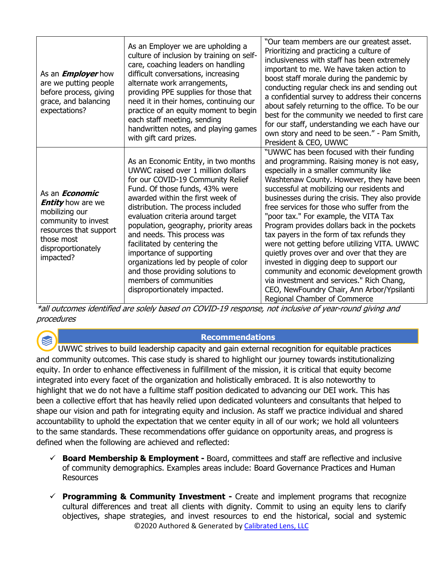| As an <i>Employer</i> how<br>are we putting people<br>before process, giving<br>grace, and balancing<br>expectations?                                                        | As an Employer we are upholding a<br>culture of inclusion by training on self-<br>care, coaching leaders on handling<br>difficult conversations, increasing<br>alternate work arrangements,<br>providing PPE supplies for those that<br>need it in their homes, continuing our<br>practice of an equity moment to begin<br>each staff meeting, sending<br>handwritten notes, and playing games<br>with gift card prizes.                                                                                                                   | "Our team members are our greatest asset.<br>Prioritizing and practicing a culture of<br>inclusiveness with staff has been extremely<br>important to me. We have taken action to<br>boost staff morale during the pandemic by<br>conducting regular check ins and sending out<br>a confidential survey to address their concerns<br>about safely returning to the office. To be our<br>best for the community we needed to first care<br>for our staff, understanding we each have our<br>own story and need to be seen." - Pam Smith,<br>President & CEO, UWWC                                                                                                                                                                                                                         |
|------------------------------------------------------------------------------------------------------------------------------------------------------------------------------|--------------------------------------------------------------------------------------------------------------------------------------------------------------------------------------------------------------------------------------------------------------------------------------------------------------------------------------------------------------------------------------------------------------------------------------------------------------------------------------------------------------------------------------------|-----------------------------------------------------------------------------------------------------------------------------------------------------------------------------------------------------------------------------------------------------------------------------------------------------------------------------------------------------------------------------------------------------------------------------------------------------------------------------------------------------------------------------------------------------------------------------------------------------------------------------------------------------------------------------------------------------------------------------------------------------------------------------------------|
| As an <i>Economic</i><br><b><i>Entity</i></b> how are we<br>mobilizing our<br>community to invest<br>resources that support<br>those most<br>disproportionately<br>impacted? | As an Economic Entity, in two months<br>UWWC raised over 1 million dollars<br>for our COVID-19 Community Relief<br>Fund. Of those funds, 43% were<br>awarded within the first week of<br>distribution. The process included<br>evaluation criteria around target<br>population, geography, priority areas<br>and needs. This process was<br>facilitated by centering the<br>importance of supporting<br>organizations led by people of color<br>and those providing solutions to<br>members of communities<br>disproportionately impacted. | "UWWC has been focused with their funding<br>and programming. Raising money is not easy,<br>especially in a smaller community like<br>Washtenaw County. However, they have been<br>successful at mobilizing our residents and<br>businesses during the crisis. They also provide<br>free services for those who suffer from the<br>"poor tax." For example, the VITA Tax<br>Program provides dollars back in the pockets<br>tax payers in the form of tax refunds they<br>were not getting before utilizing VITA. UWWC<br>quietly proves over and over that they are<br>invested in digging deep to support our<br>community and economic development growth<br>via investment and services." Rich Chang,<br>CEO, NewFoundry Chair, Ann Arbor/Ypsilanti<br>Regional Chamber of Commerce |

\*all outcomes identified are solely based on COVID-19 response, not inclusive of year-round giving and procedures

# **Recommendations**

UWWC strives to build leadership capacity and gain external recognition for equitable practices and community outcomes. This case study is shared to highlight our journey towards institutionalizing equity. In order to enhance effectiveness in fulfillment of the mission, it is critical that equity become integrated into every facet of the organization and holistically embraced. It is also noteworthy to highlight that we do not have a fulltime staff position dedicated to advancing our DEI work. This has been a collective effort that has heavily relied upon dedicated volunteers and consultants that helped to shape our vision and path for integrating equity and inclusion. As staff we practice individual and shared accountability to uphold the expectation that we center equity in all of our work; we hold all volunteers to the same standards. These recommendations offer guidance on opportunity areas, and progress is defined when the following are achieved and reflected:

- ✓ **Board Membership & Employment -** Board, committees and staff are reflective and inclusive of community demographics. Examples areas include: Board Governance Practices and Human Resources
- ©2020 Authored & Generated b[y Calibrated Lens, LLC](http://www.calibratedlens.com/)  ✓ **Programming & Community Investment -** Create and implement programs that recognize cultural differences and treat all clients with dignity. Commit to using an equity lens to clarify objectives, shape strategies, and invest resources to end the historical, social and systemic